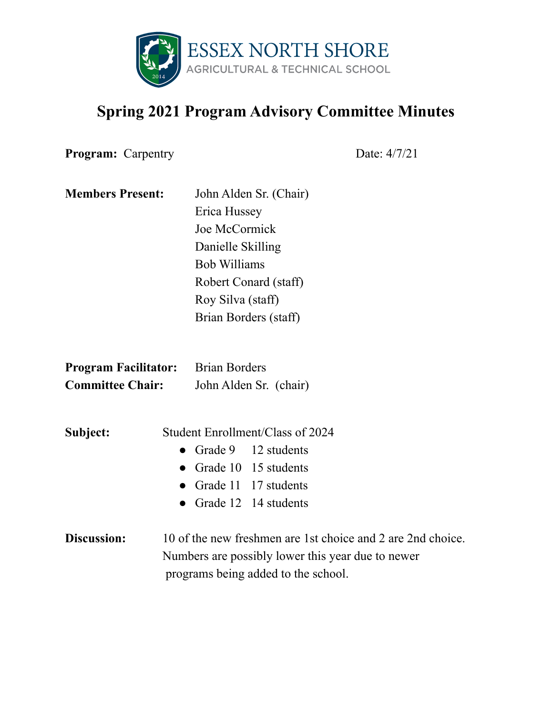

## **Spring 2021 Program Advisory Committee Minutes**

**Program:** Carpentry Date: 4/7/21

| <b>Members Present:</b> | John Alden Sr. (Chair) |
|-------------------------|------------------------|
|                         | Erica Hussey           |
|                         | Joe McCormick          |
|                         | Danielle Skilling      |
|                         | <b>Bob Williams</b>    |
|                         | Robert Conard (staff)  |
|                         | Roy Silva (staff)      |
|                         | Brian Borders (staff)  |
|                         |                        |

| <b>Program Facilitator:</b> | <b>Brian Borders</b>   |  |
|-----------------------------|------------------------|--|
| <b>Committee Chair:</b>     | John Alden Sr. (chair) |  |

- **Subject:** Student Enrollment/Class of 2024 • Grade 9 12 students • Grade 10 15 students ● Grade 11 17 students • Grade 12 14 students
- **Discussion:** 10 of the new freshmen are 1st choice and 2 are 2nd choice. Numbers are possibly lower this year due to newer programs being added to the school.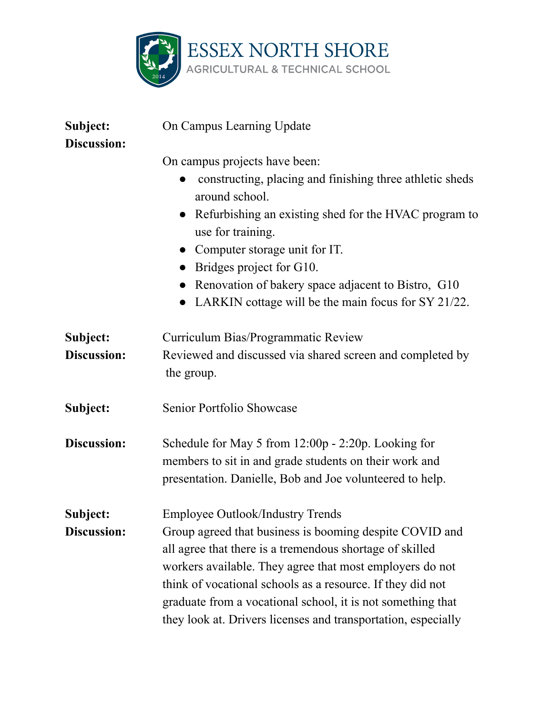

| Subject:<br><b>Discussion:</b> | On Campus Learning Update                                                                                                                                                                                                                                                                                                                                                                                                |  |
|--------------------------------|--------------------------------------------------------------------------------------------------------------------------------------------------------------------------------------------------------------------------------------------------------------------------------------------------------------------------------------------------------------------------------------------------------------------------|--|
|                                | On campus projects have been:<br>constructing, placing and finishing three athletic sheds<br>around school.<br>Refurbishing an existing shed for the HVAC program to<br>use for training.<br>• Computer storage unit for IT.<br>Bridges project for G10.<br>Renovation of bakery space adjacent to Bistro, G10<br>LARKIN cottage will be the main focus for SY 21/22.                                                    |  |
| Subject:<br>Discussion:        | Curriculum Bias/Programmatic Review<br>Reviewed and discussed via shared screen and completed by<br>the group.                                                                                                                                                                                                                                                                                                           |  |
| Subject:                       | Senior Portfolio Showcase                                                                                                                                                                                                                                                                                                                                                                                                |  |
| Discussion:                    | Schedule for May 5 from 12:00p - 2:20p. Looking for<br>members to sit in and grade students on their work and<br>presentation. Danielle, Bob and Joe volunteered to help.                                                                                                                                                                                                                                                |  |
| Subject:<br><b>Discussion:</b> | <b>Employee Outlook/Industry Trends</b><br>Group agreed that business is booming despite COVID and<br>all agree that there is a tremendous shortage of skilled<br>workers available. They agree that most employers do not<br>think of vocational schools as a resource. If they did not<br>graduate from a vocational school, it is not something that<br>they look at. Drivers licenses and transportation, especially |  |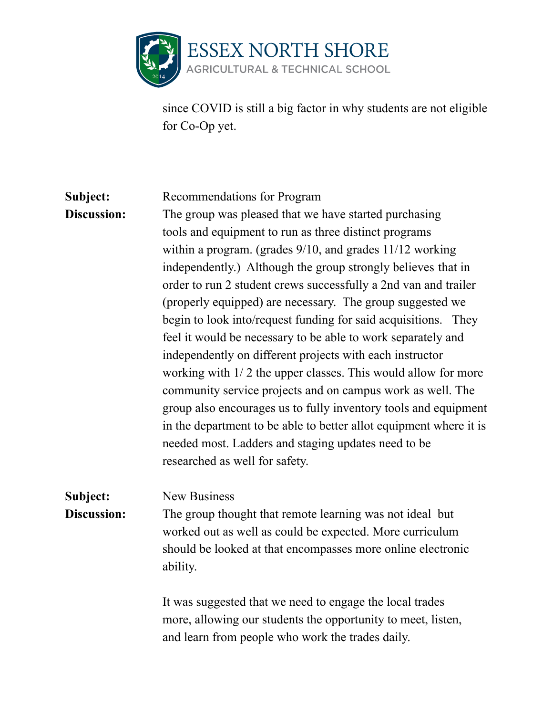

since COVID is still a big factor in why students are not eligible for Co-Op yet.

## **Subject:** Recommendations for Program

**Discussion:** The group was pleased that we have started purchasing tools and equipment to run as three distinct programs within a program. (grades  $9/10$ , and grades  $11/12$  working independently.) Although the group strongly believes that in order to run 2 student crews successfully a 2nd van and trailer (properly equipped) are necessary. The group suggested we begin to look into/request funding for said acquisitions. They feel it would be necessary to be able to work separately and independently on different projects with each instructor working with 1/ 2 the upper classes. This would allow for more community service projects and on campus work as well. The group also encourages us to fully inventory tools and equipment in the department to be able to better allot equipment where it is needed most. Ladders and staging updates need to be researched as well for safety.

## **Subject:** New Business

**Discussion:** The group thought that remote learning was not ideal but worked out as well as could be expected. More curriculum should be looked at that encompasses more online electronic ability.

> It was suggested that we need to engage the local trades more, allowing our students the opportunity to meet, listen, and learn from people who work the trades daily.